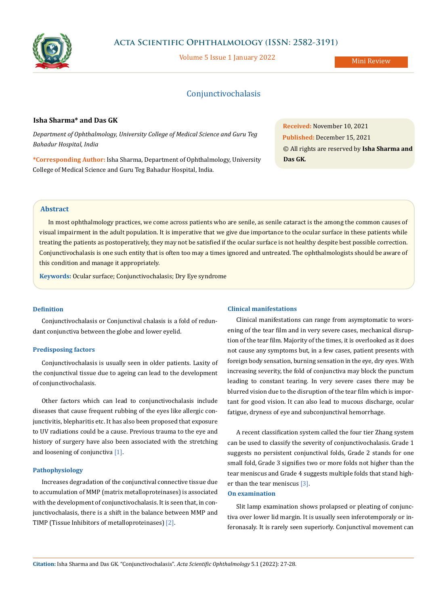

# **Acta Scientific Ophthalmology (ISSN: 2582-3191)**

Volume 5 Issue 1 January 2022

# Conjunctivochalasis

## **Isha Sharma\* and Das GK**

*Department of Ophthalmology, University College of Medical Science and Guru Teg Bahadur Hospital, India*

**\*Corresponding Author:** Isha Sharma, Department of Ophthalmology, University College of Medical Science and Guru Teg Bahadur Hospital, India.

**Received:** November 10, 2021 **Published:** December 15, 2021 © All rights are reserved by **Isha Sharma and Das GK***.*

## **Abstract**

In most ophthalmology practices, we come across patients who are senile, as senile cataract is the among the common causes of visual impairment in the adult population. It is imperative that we give due importance to the ocular surface in these patients while treating the patients as postoperatively, they may not be satisfied if the ocular surface is not healthy despite best possible correction. Conjunctivochalasis is one such entity that is often too may a times ignored and untreated. The ophthalmologists should be aware of this condition and manage it appropriately.

**Keywords:** Ocular surface; Conjunctivochalasis; Dry Eye syndrome

### **Definition**

Conjunctivochalasis or Conjunctival chalasis is a fold of redundant conjunctiva between the globe and lower eyelid.

## **Predisposing factors**

Conjunctivochalasis is usually seen in older patients. Laxity of the conjunctival tissue due to ageing can lead to the development of conjunctivochalasis.

Other factors which can lead to conjunctivochalasis include diseases that cause frequent rubbing of the eyes like allergic conjunctivitis, blepharitis etc. It has also been proposed that exposure to UV radiations could be a cause. Previous trauma to the eye and history of surgery have also been associated with the stretching and loosening of conjunctiva [1].

## **Pathophysiology**

Increases degradation of the conjunctival connective tissue due to accumulation of MMP (matrix metalloproteinases) is associated with the development of conjunctivochalasis. It is seen that, in conjunctivochalasis, there is a shift in the balance between MMP and TIMP (Tissue Inhibitors of metalloproteinases) [2].

#### **Clinical manifestations**

Clinical manifestations can range from asymptomatic to worsening of the tear film and in very severe cases, mechanical disruption of the tear film. Majority of the times, it is overlooked as it does not cause any symptoms but, in a few cases, patient presents with foreign body sensation, burning sensation in the eye, dry eyes. With increasing severity, the fold of conjunctiva may block the punctum leading to constant tearing. In very severe cases there may be blurred vision due to the disruption of the tear film which is important for good vision. It can also lead to mucous discharge, ocular fatigue, dryness of eye and subconjunctival hemorrhage.

A recent classification system called the four tier Zhang system can be used to classify the severity of conjunctivochalasis. Grade 1 suggests no persistent conjunctival folds, Grade 2 stands for one small fold, Grade 3 signifies two or more folds not higher than the tear meniscus and Grade 4 suggests multiple folds that stand higher than the tear meniscus [3].

#### **On examination**

Slit lamp examination shows prolapsed or pleating of conjunctiva over lower lid margin. It is usually seen inferotemporaly or inferonasaly. It is rarely seen superiorly. Conjunctival movement can